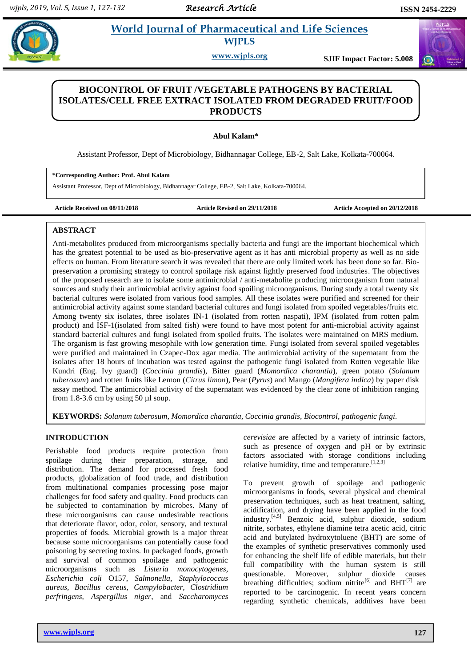# **Kalacamar World Journal of Pharmaceutical and Life Sciences WJPLS**

**www.wjpls.org SJIF Impact Factor: 5.008**

# **BIOCONTROL OF FRUIT /VEGETABLE PATHOGENS BY BACTERIAL ISOLATES/CELL FREE EXTRACT ISOLATED FROM DEGRADED FRUIT/FOOD PRODUCTS**

**Abul Kalam\***

Assistant Professor, Dept of Microbiology, Bidhannagar College, EB-2, Salt Lake, Kolkata-700064.

**\*Corresponding Author: Prof. Abul Kalam**

Assistant Professor, Dept of Microbiology, Bidhannagar College, EB-2, Salt Lake, Kolkata-700064.

**Article Received on 08/11/2018 Article Revised on 29/11/2018 Article Accepted on 20/12/2018**

# **ABSTRACT**

Anti-metabolites produced from microorganisms specially bacteria and fungi are the important biochemical which has the greatest potential to be used as bio-preservative agent as it has anti microbial property as well as no side effects on human. From literature search it was revealed that there are only limited work has been done so far. Biopreservation a promising strategy to control spoilage risk against lightly preserved food industries. The objectives of the proposed research are to isolate some antimicrobial / anti-metabolite producing microorganism from natural sources and study their antimicrobial activity against food spoiling microorganisms. During study a total twenty six bacterial cultures were isolated from various food samples. All these isolates were purified and screened for their antimicrobial activity against some standard bacterial cultures and fungi isolated from spoiled vegetables/fruits etc. Among twenty six isolates, three isolates IN-1 (isolated from rotten naspati), IPM (isolated from rotten palm product) and ISF-1(isolated from salted fish) were found to have most potent for anti-microbial activity against standard bacterial cultures and fungi isolated from spoiled fruits. The isolates were maintained on MRS medium. The organism is fast growing mesophile with low generation time. Fungi isolated from several spoiled vegetables were purified and maintained in Czapec-Dox agar media. The antimicrobial activity of the supernatant from the isolates after 18 hours of incubation was tested against the pathogenic fungi isolated from Rotten vegetable like Kundri (Eng. Ivy guard) (*Coccinia grandis*), Bitter guard (*Momordica charantia*), green potato (*Solanum tuberosum*) and rotten fruits like Lemon (*Citrus limon*), Pear (*Pyrus*) and Mango (*Mangifera indica*) by paper disk assay method. The antimicrobial activity of the supernatant was evidenced by the clear zone of inhibition ranging from 1.8-3.6 cm by using 50  $\mu$ l soup.

**KEYWORDS:** *Solanum tuberosum, Momordica charantia, Coccinia grandis, Biocontrol, pathogenic fungi.*

# **INTRODUCTION**

Perishable food products require protection from spoilage during their preparation, storage, and distribution. The demand for processed fresh food products, globalization of food trade, and distribution from multinational companies processing pose major challenges for food safety and quality. Food products can be subjected to contamination by microbes. Many of these microorganisms can cause undesirable reactions that deteriorate flavor, odor, color, sensory, and textural properties of foods. Microbial growth is a major threat because some microorganisms can potentially cause food poisoning by secreting toxins. In packaged foods, growth and survival of common spoilage and pathogenic microorganisms such as *Listeria monocytogenes, Escherichia coli* O157, *Salmonella, Staphylococcus aureus, Bacillus cereus, Campylobacter, Clostridium perfringens, Aspergillus niger*, and *Saccharomyces* 

**www.wjpls.org 127**

*cerevisiae* are affected by a variety of intrinsic factors, such as presence of oxygen and pH or by extrinsic factors associated with storage conditions including relative humidity, time and temperature.<sup>[1,2,3]</sup>

To prevent growth of spoilage and pathogenic microorganisms in foods, several physical and chemical preservation techniques, such as heat treatment, salting, acidification, and drying have been applied in the food industry. [4,5] Benzoic acid, sulphur dioxide, sodium nitrite, sorbates, ethylene diamine tetra acetic acid, citric acid and butylated hydroxytoluene (BHT) are some of the examples of synthetic preservatives commonly used for enhancing the shelf life of edible materials, but their full compatibility with the human system is still questionable. Moreover, sulphur dioxide causes breathing difficulties; sodium nitrite<sup>[6]</sup> and  $BHT^{[7]}$  are reported to be carcinogenic. In recent years concern regarding synthetic chemicals, additives have been

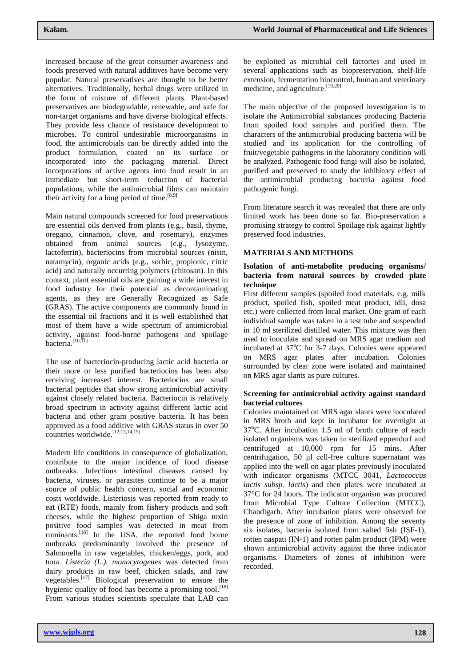increased because of the great consumer awareness and foods preserved with natural additives have become very popular. Natural preservatives are thought to be better alternatives. Traditionally, herbal drugs were utilized in the form of mixture of different plants. Plant-based preservatives are biodegradable, renewable, and safe for non-target organisms and have diverse biological effects. They provide less chance of resistance development to microbes. To control undesirable microorganisms in food, the antimicrobials can be directly added into the product formulation, coated on its surface or incorporated into the packaging material. Direct incorporations of active agents into food result in an immediate but short-term reduction of bacterial populations, while the antimicrobial films can maintain their activity for a long period of time.  $[8,9]$ 

Main natural compounds screened for food preservations are essential oils derived from plants (e.g., basil, thyme, oregano, cinnamon, clove, and rosemary), enzymes obtained from animal sources (e.g., lysozyme, lactoferrin), bacteriocins from microbial sources (nisin, natamycin), organic acids (e.g., sorbic, propionic, citric acid) and naturally occurring polymers (chitosan). In this context, plant essential oils are gaining a wide interest in food industry for their potential as decontaminating agents, as they are Generally Recognized as Safe (GRAS). The active components are commonly found in the essential oil fractions and it is well established that most of them have a wide spectrum of antimicrobial activity, against food-borne pathogens and spoilage bacteria.<sup>[10,11]</sup>

The use of bacteriocin-producing lactic acid bacteria or their more or less purified bacteriocins has been also receiving increased interest. Bacteriocins are small bacterial peptides that show strong antimicrobial activity against closely related bacteria. Bacteriocin is relatively broad spectrum in activity against different lactic acid bacteria and other gram positive bacteria. It has been approved as a food additive with GRAS status in over 50 countries worldwide. [12,13,14,15]

Modern life conditions in consequence of globalization, contribute to the major incidence of food disease outbreaks. Infectious intestinal diseases caused by bacteria, viruses, or parasites continue to be a major source of public health concern, social and economic costs worldwide. Listeriosis was reported from ready to eat (RTE) foods, mainly from fishery products and soft cheeses, while the highest proportion of Shiga toxin positive food samples was detected in meat from ruminants.<sup>[16]</sup> In the USA, the reported food borne outbreaks predominantly involved the presence of Salmonella in raw vegetables, chicken/eggs, pork, and tuna. *Listeria (L.). monocytogenes* was detected from dairy products in raw beef, chicken salads, and raw vegetables.<sup>[17]</sup> Biological preservation to ensure the hygienic quality of food has become a promising tool.<sup>[18]</sup> From various studies scientists speculate that LAB can

be exploited as microbial cell factories and used in several applications such as biopreservation, shelf-life extension, fermentation biocontrol, human and veterinary medicine, and agriculture.<sup>[19,20]</sup>

The main objective of the proposed investigation is to isolate the Antimicrobial substances producing Bacteria from spoiled food samples and purified them. The characters of the antimicrobial producing bacteria will be studied and its application for the controlling of fruit/vegetable pathogens in the laboratory condition will be analyzed. Pathogenic food fungi will also be isolated, purified and preserved to study the inhibitory effect of the antimicrobial producing bacteria against food pathogenic fungi.

From literature search it was revealed that there are only limited work has been done so far. Bio-preservation a promising strategy to control Spoilage risk against lightly preserved food industries.

# **MATERIALS AND METHODS**

#### **Isolation of anti-metabolite producing organisms/ bacteria from natural sources by crowded plate technique**

First different samples (spoiled food materials, e.g. milk product, spoiled fish, spoiled meat product, idli, dosa etc.) were collected from local market. One gram of each individual sample was taken in a test tube and suspended in 10 ml sterilized distilled water. This mixture was then used to inoculate and spread on MRS agar medium and incubated at  $37^{\circ}$ C for 3-7 days. Colonies were appeared on MRS agar plates after incubation. Colonies surrounded by clear zone were isolated and maintained on MRS agar slants as pure cultures.

# **Screening for antimicrobial activity against standard bacterial cultures**

Colonies maintained on MRS agar slants were inoculated in MRS broth and kept in incubator for overnight at  $37^{\circ}$ C. After incubation 1.5 ml of broth culture of each isolated organisms was taken in sterilized eppendorf and centrifuged at 10,000 rpm for 15 mins. After centrifugation, 50 μl cell-free culture supernatant was applied into the well on agar plates previously inoculated with indicator organisms (MTCC 3041, *Lactococcus lactis subsp. lactis*) and then plates were incubated at 37°C for 24 hours. The indicator organism was procured from Microbial Type Culture Collection (MTCC), Chandigarh. After incubation plates were observed for the presence of zone of inhibition. Among the seventy six isolates, bacteria isolated from salted fish (ISF-1), rotten naspati (IN-1) and rotten palm product (IPM) were shown antimicrobial activity against the three indicator organisms. Diameters of zones of inhibition were recorded.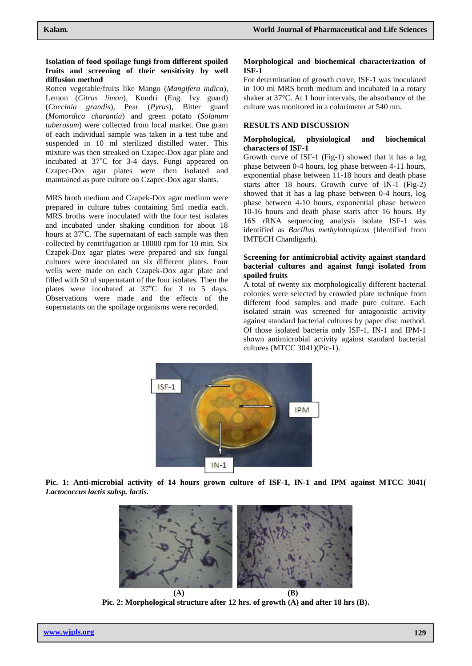#### **Isolation of food spoilage fungi from different spoiled fruits and screening of their sensitivity by well diffusion method**

Rotten vegetable/fruits like Mango (*Mangifera indica*), Lemon (*Citrus limon*), Kundri (Eng. Ivy guard) (*Coccinia grandis*), Pear (*Pyrus*), Bitter guard (*Momordica charantia*) and green potato (*Solanum tuberosum*) were collected from local market. One gram of each individual sample was taken in a test tube and suspended in 10 ml sterilized distilled water. This mixture was then streaked on Czapec-Dox agar plate and incubated at  $37^{\circ}$ C for 3-4 days. Fungi appeared on Czapec-Dox agar plates were then isolated and maintained as pure culture on Czapec-Dox agar slants.

MRS broth medium and Czapek-Dox agar medium were prepared in culture tubes containing 5ml media each. MRS broths were inoculated with the four test isolates and incubated under shaking condition for about 18 hours at 37°C. The supernatant of each sample was then collected by centrifugation at 10000 rpm for 10 min. Six Czapek-Dox agar plates were prepared and six fungal cultures were inoculated on six different plates. Four wells were made on each Czapek-Dox agar plate and filled with 50 ul supernatant of the four isolates. Then the plates were incubated at  $37^{\circ}$ C for 3 to 5 days. Observations were made and the effects of the supernatants on the spoilage organisms were recorded.

#### **Morphological and biochemical characterization of ISF-1**

For determination of growth curve, ISF-1 was inoculated in 100 ml MRS broth medium and incubated in a rotary shaker at 37°C. At 1 hour intervals, the absorbance of the culture was monitored in a colorimeter at 540 nm.

# **RESULTS AND DISCUSSION**

#### **Morphological, physiological and biochemical characters of ISF-1**

Growth curve of ISF-1 (Fig-1) showed that it has a lag phase between 0-4 hours, log phase between 4-11 hours, exponential phase between 11-18 hours and death phase starts after 18 hours. Growth curve of IN-1 (Fig-2) showed that it has a lag phase between 0-4 hours, log phase between 4-10 hours, exponential phase between 10-16 hours and death phase starts after 16 hours. By 16S rRNA sequencing analysis isolate ISF-1 was identified as *Bacillus methylotropicus* (Identified from IMTECH Chandigarh).

#### **Screening for antimicrobial activity against standard bacterial cultures and against fungi isolated from spoiled fruits**

A total of twenty six morphologically different bacterial colonies were selected by crowded plate technique from different food samples and made pure culture. Each isolated strain was screened for antagonistic activity against standard bacterial cultures by paper disc method. Of those isolated bacteria only ISF-1, IN-1 and IPM-1 shown antimicrobial activity against standard bacterial cultures (MTCC 3041)(Pic-1).



**Pic. 1: Anti-microbial activity of 14 hours grown culture of ISF-1, IN-1 and IPM against MTCC 3041(**  *Lactococcus lactis subsp. lactis.*



**Pic. 2: Morphological structure after 12 hrs. of growth (A) and after 18 hrs (B).**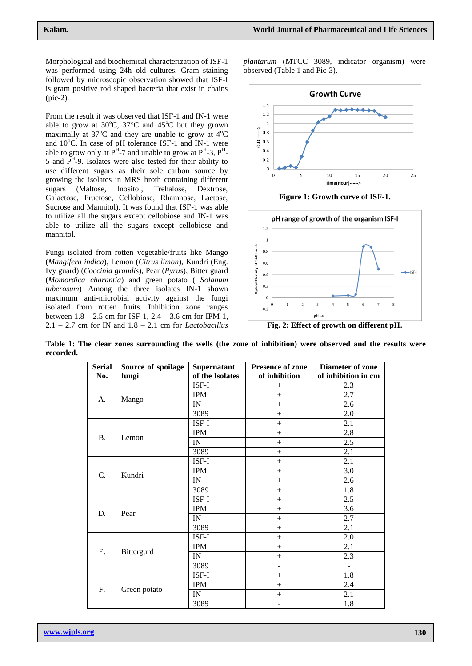Morphological and biochemical characterization of ISF-1 was performed using 24h old cultures. Gram staining followed by microscopic observation showed that ISF-I is gram positive rod shaped bacteria that exist in chains (pic-2).

From the result it was observed that ISF-1 and IN-1 were able to grow at  $30^{\circ}$ C,  $37^{\circ}$ C and  $45^{\circ}$ C but they grown maximally at  $37^{\circ}$ C and they are unable to grow at  $4^{\circ}$ C and  $10^{\circ}$ C. In case of pH tolerance ISF-1 and IN-1 were able to grow only at  $P^H$ -7 and unable to grow at  $P^H$ -3,  $P^H$ -5 and  $P^{H}$ -9. Isolates were also tested for their ability to use different sugars as their sole carbon source by growing the isolates in MRS broth containing different sugars (Maltose, Inositol, Trehalose, Dextrose, Galactose, Fructose, Cellobiose, Rhamnose, Lactose, Sucrose and Mannitol). It was found that ISF-1 was able to utilize all the sugars except cellobiose and IN-1 was able to utilize all the sugars except cellobiose and mannitol.

Fungi isolated from rotten vegetable/fruits like Mango (*Mangifera indica*), Lemon (*Citrus limon*), Kundri (Eng. Ivy guard) (*Coccinia grandis*), Pear (*Pyrus*), Bitter guard (*Momordica charantia*) and green potato ( *Solanum tuberosum*) Among the three isolates IN-1 shown maximum anti-microbial activity against the fungi isolated from rotten fruits. Inhibition zone ranges between  $1.8 - 2.5$  cm for ISF-1,  $2.4 - 3.6$  cm for IPM-1, 2.1 – 2.7 cm for IN and 1.8 – 2.1 cm for *Lactobacillus* 

*plantarum* (MTCC 3089, indicator organism) were observed (Table 1 and Pic-3).



**Figure 1: Growth curve of ISF-1.**



**Table 1: The clear zones surrounding the wells (the zone of inhibition) were observed and the results were recorded.**

| <b>Serial</b> | Source of spoilage | Supernatant              | Presence of zone         | <b>Diameter of zone</b> |
|---------------|--------------------|--------------------------|--------------------------|-------------------------|
| No.           | fungi              | of the Isolates          | of inhibition            | of inhibition in cm     |
| А.            | Mango              | ISF-I                    | $^{+}$                   | 2.3                     |
|               |                    | <b>IPM</b>               | $+$                      | 2.7                     |
|               |                    | IN                       | $+$                      | 2.6                     |
|               |                    | 3089                     | $^{+}$                   | 2.0                     |
| Β.            | Lemon              | ISF-I                    | $^{+}$                   | 2.1                     |
|               |                    | <b>IPM</b>               | $^{+}$                   | 2.8                     |
|               |                    | IN                       | $^{+}$                   | 2.5                     |
|               |                    | 3089                     | $^{+}$                   | 2.1                     |
| C.            | Kundri             | ISF-I                    | $+$                      | 2.1                     |
|               |                    | <b>IPM</b>               | $^{+}$                   | 3.0                     |
|               |                    | <b>IN</b>                | $^{+}$                   | 2.6                     |
|               |                    | 3089                     | $^{+}$                   | 1.8                     |
| D.            | Pear               | ISF-I                    | $+$                      | 2.5                     |
|               |                    | <b>IPM</b>               | $^{+}$                   | 3.6                     |
|               |                    | $\ensuremath{\text{IN}}$ | $^{+}$                   | 2.7                     |
|               |                    | 3089                     | $^{+}$                   | 2.1                     |
| Ε.            | Bittergurd         | ISF-I                    | $^{+}$                   | 2.0                     |
|               |                    | <b>IPM</b>               | $+$                      | 2.1                     |
|               |                    | IN                       | $^{+}$                   | 2.3                     |
|               |                    | 3089                     | $\overline{\phantom{m}}$ | $\overline{a}$          |
| F.            | Green potato       | ISF-I                    | $^{+}$                   | 1.8                     |
|               |                    | <b>IPM</b>               | $^{+}$                   | 2.4                     |
|               |                    | IN                       | $^{+}$                   | 2.1                     |
|               |                    | 3089                     | $\blacksquare$           | 1.8                     |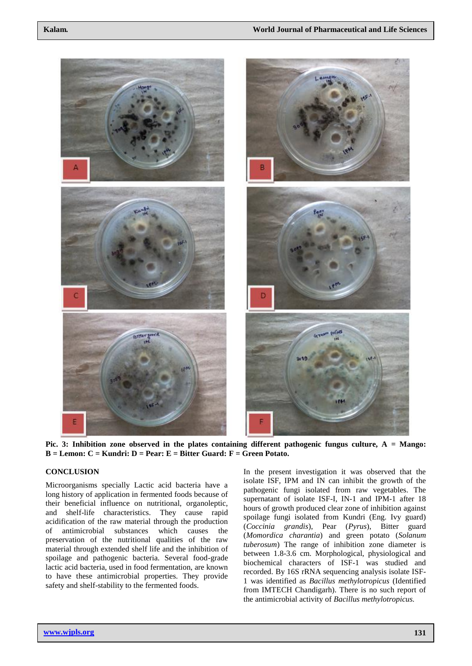

**Pic. 3: Inhibition zone observed in the plates containing different pathogenic fungus culture, A = Mango: B = Lemon: C = Kundri: D = Pear: E = Bitter Guard: F = Green Potato.**

# **CONCLUSION**

Microorganisms specially Lactic acid bacteria have a long history of application in fermented foods because of their beneficial influence on nutritional, organoleptic, and shelf-life characteristics. They cause rapid acidification of the raw material through the production of antimicrobial substances which causes the preservation of the nutritional qualities of the raw material through extended shelf life and the inhibition of spoilage and pathogenic bacteria. Several food-grade lactic acid bacteria, used in food fermentation, are known to have these antimicrobial properties. They provide safety and shelf-stability to the fermented foods.

In the present investigation it was observed that the isolate ISF, IPM and IN can inhibit the growth of the pathogenic fungi isolated from raw vegetables. The supernatant of isolate ISF-I, IN-1 and IPM-1 after 18 hours of growth produced clear zone of inhibition against spoilage fungi isolated from Kundri (Eng. Ivy guard) (*Coccinia grandis*), Pear (*Pyrus*), Bitter guard (*Momordica charantia*) and green potato (*Solanum tuberosum*) The range of inhibition zone diameter is between 1.8-3.6 cm. Morphological, physiological and biochemical characters of ISF-1 was studied and recorded. By 16S rRNA sequencing analysis isolate ISF-1 was identified as *Bacillus methylotropicus* (Identified from IMTECH Chandigarh). There is no such report of the antimicrobial activity of *Bacillus methylotropicus.*